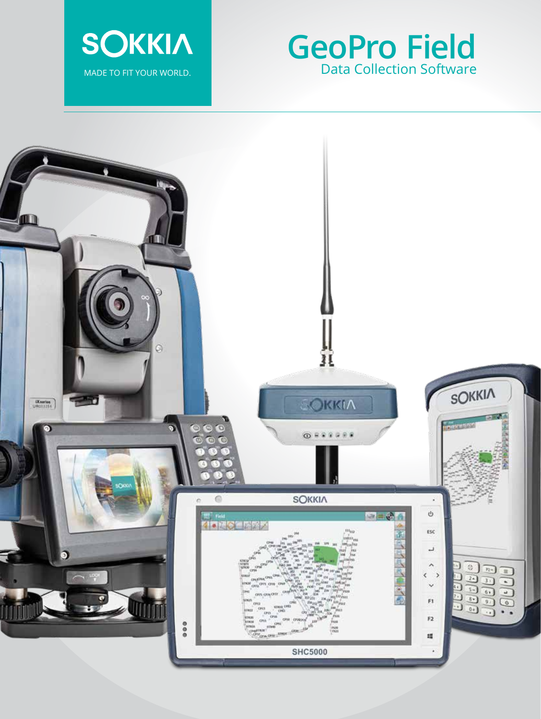